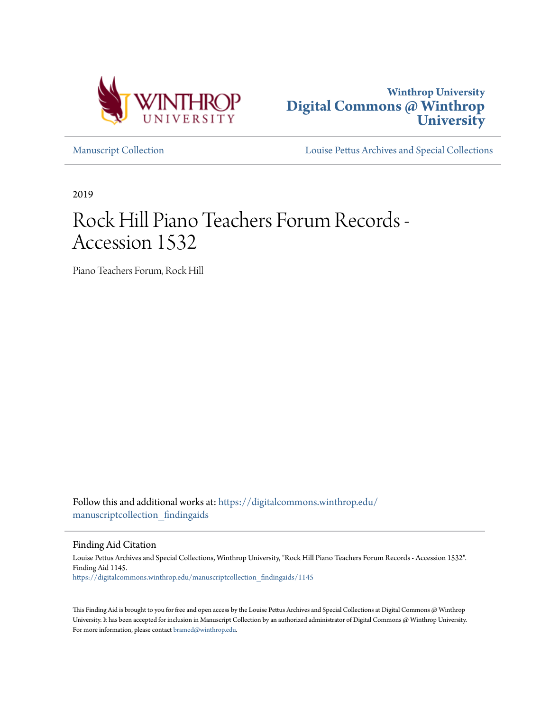



[Manuscript Collection](https://digitalcommons.winthrop.edu/manuscriptcollection_findingaids?utm_source=digitalcommons.winthrop.edu%2Fmanuscriptcollection_findingaids%2F1145&utm_medium=PDF&utm_campaign=PDFCoverPages) [Louise Pettus Archives and Special Collections](https://digitalcommons.winthrop.edu/pettus_archives?utm_source=digitalcommons.winthrop.edu%2Fmanuscriptcollection_findingaids%2F1145&utm_medium=PDF&utm_campaign=PDFCoverPages)

2019

# Rock Hill Piano Teachers Forum Records - Accession 1532

Piano Teachers Forum, Rock Hill

Follow this and additional works at: [https://digitalcommons.winthrop.edu/](https://digitalcommons.winthrop.edu/manuscriptcollection_findingaids?utm_source=digitalcommons.winthrop.edu%2Fmanuscriptcollection_findingaids%2F1145&utm_medium=PDF&utm_campaign=PDFCoverPages) [manuscriptcollection\\_findingaids](https://digitalcommons.winthrop.edu/manuscriptcollection_findingaids?utm_source=digitalcommons.winthrop.edu%2Fmanuscriptcollection_findingaids%2F1145&utm_medium=PDF&utm_campaign=PDFCoverPages)

Finding Aid Citation

Louise Pettus Archives and Special Collections, Winthrop University, "Rock Hill Piano Teachers Forum Records - Accession 1532". Finding Aid 1145. [https://digitalcommons.winthrop.edu/manuscriptcollection\\_findingaids/1145](https://digitalcommons.winthrop.edu/manuscriptcollection_findingaids/1145?utm_source=digitalcommons.winthrop.edu%2Fmanuscriptcollection_findingaids%2F1145&utm_medium=PDF&utm_campaign=PDFCoverPages)

This Finding Aid is brought to you for free and open access by the Louise Pettus Archives and Special Collections at Digital Commons @ Winthrop University. It has been accepted for inclusion in Manuscript Collection by an authorized administrator of Digital Commons @ Winthrop University. For more information, please contact [bramed@winthrop.edu.](mailto:bramed@winthrop.edu)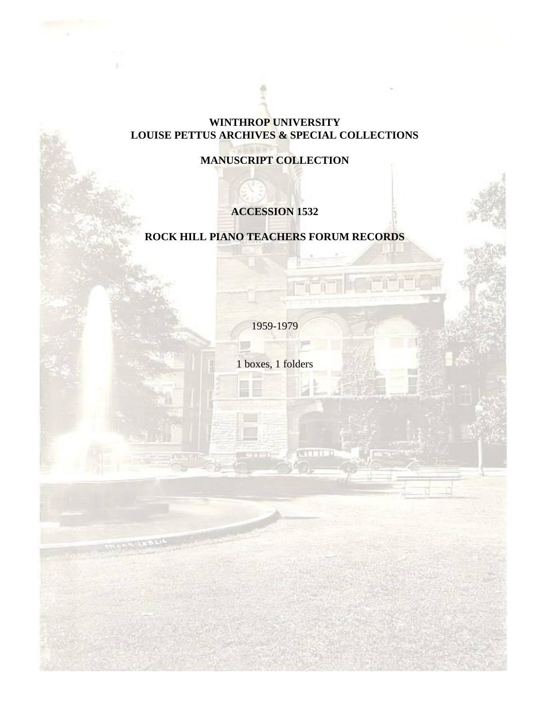## **WINTHROP UNIVERSITY LOUISE PETTUS ARCHIVES & SPECIAL COLLECTIONS**

**MANUSCRIPT COLLECTION**

# **ACCESSION 1532**

# **ROCK HILL PIANO TEACHERS FORUM RECORDS**

1959-1979

1 boxes, 1 folders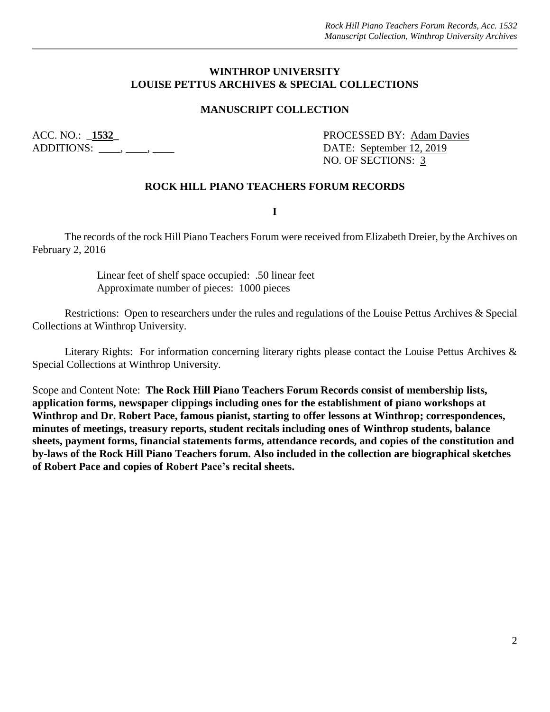#### **WINTHROP UNIVERSITY LOUISE PETTUS ARCHIVES & SPECIAL COLLECTIONS**

#### **MANUSCRIPT COLLECTION**

ADDITIONS: \_\_\_\_, \_\_\_, \_\_\_\_, \_\_\_\_\_ DATE: September 12, 2019

ACC. NO.: **1532** PROCESSED BY: Adam Davies NO. OF SECTIONS: 3

#### **ROCK HILL PIANO TEACHERS FORUM RECORDS**

**I**

The records of the rock Hill Piano Teachers Forum were received from Elizabeth Dreier, by the Archives on February 2, 2016

> Linear feet of shelf space occupied: .50 linear feet Approximate number of pieces: 1000 pieces

Restrictions: Open to researchers under the rules and regulations of the Louise Pettus Archives & Special Collections at Winthrop University.

Literary Rights: For information concerning literary rights please contact the Louise Pettus Archives & Special Collections at Winthrop University.

Scope and Content Note: **The Rock Hill Piano Teachers Forum Records consist of membership lists, application forms, newspaper clippings including ones for the establishment of piano workshops at**  Winthrop and Dr. Robert Pace, famous pianist, starting to offer lessons at Winthrop; correspondences, **minutes of meetings, treasury reports, student recitals including ones of Winthrop students, balance sheets, payment forms, financial statements forms, attendance records, and copies of the constitution and by-laws of the Rock Hill Piano Teachers forum. Also included in the collection are biographical sketches of Robert Pace and copies of Robert Pace's recital sheets.**